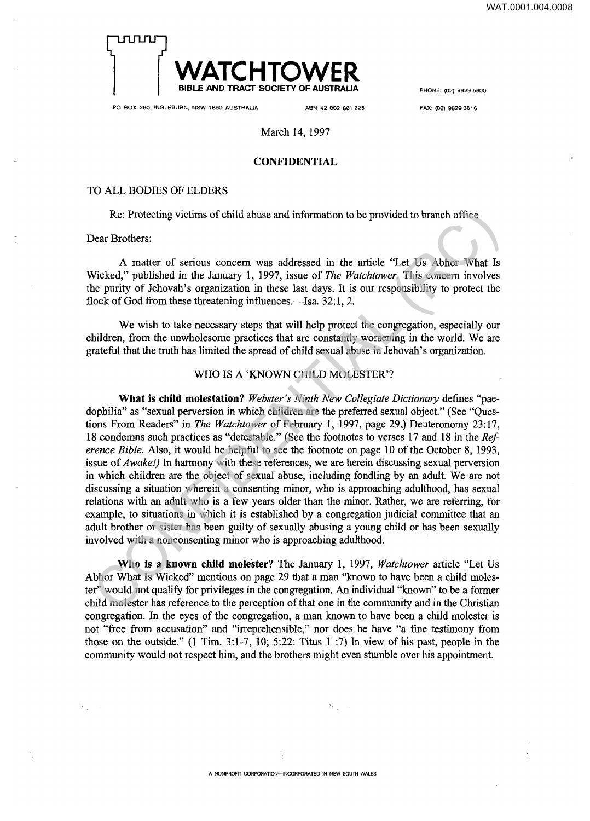

**PO BOX 280, INGLEBURN, NSW 1890 AUSTRALIA ABN 42 002 861 225 FAX: (02) 9829 3616** 

## March 14, 1997

## **CONFIDENTIAL**

#### TO ALL BODIES OF ELDERS

Re: Protecting victims of child abuse and information to be provided to branch office

Dear Brothers:

A matter of serious concern was addressed in the article "Let Us Abhor What Is Wicked," published in the January 1, 1997, issue of *The Watchtower*. This concern involves the purity of Jehovah's organization in these last days. It is our responsibility to protect the flock of God from these threatening influences.—Isa. 32:1, 2.

We wish to take necessary steps that will help protect the congregation, especially our children, from the unwholesome practices that are constantly worsening in the world. We are grateful that the truth has limited the spread of child sexual abuse in Jehovah's organization.

## WHO IS A 'KNOWN CHILD MOLESTER'?

**What is child molestation?** Webster's Ninth New Collegiate Dictionary defines "paedophilia" as "sexual perversion in which children are the preferred sexual object." (See "Questions From Readers" in *The Watchtower* of February 1, 1997, page 29.) Deuteronomy 23:17, 18 condemns such practices as "detestable." (See the footnotes to verses 17 and 18 in the *Reference Bible.* Also, it would be helpful to see the footnote on page 10 of the October 8, 1993, issue of *Awake!)* In harmony with these references, we are herein discussing sexual perversion in which children are the object of sexual abuse, including fondling by an adult. We are not discussing a situation wherein a consenting minor, who is approaching adulthood, has sexual relations with an adult who is a few years older than the minor. Rather, we are referring, for example, to situations in which it is established by a congregation judicial committee that an adult brother or sister has been guilty of sexually abusing a young child or has been sexually involved with a nonconsenting minor who is approaching adulthood. Re: Protecting victims of child abuse and information to be provided to branch office<br>
Pear Brothers:<br>
A matter of serious concern was addressed in the article "Let Us Abbio What Is<br>
Wicked," published in the lanuary 1, 1

**Who is a known child molester?** The January 1, 1997, *Watchto wer* article "Let Us Abhor What Is Wicked" mentions on page 29 that a man "known to have been a child molester" would not qualify for privileges in the congregation. An individual "known" to be a former child molester has reference to the perception of that one in the community and in the Christian congregation. In the eyes of the congregation, a man known to have been a child molester is not "free from accusation" and "irreprehensible," nor does he have "a fine testimony from those on the outside." (1 Tim. 3:1-7, 10; 5:22: Titus  $1$  :7) In view of his past, people in the community would not respect him, and the brothers might even stumble over his appointment.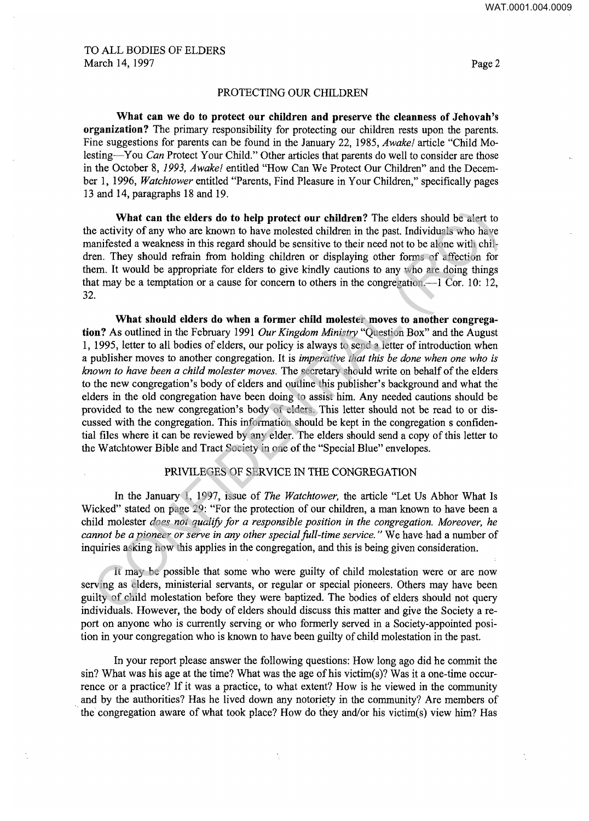## PROTECTING OUR CHILDREN

What can we do to protect our children and preserve the cleanness of Jehovah's **organization?** The primary responsibility for protecting our children rests upon the parents. Fine suggestions for parents can be found in the January 22, 1985, *Awake!* article "Child Molesting—You *Can* Protect Your Child." Other articles that parents do well to consider are those in the October 8, *1993, Aw ake!* entitled "How Can We Protect Our Children" and the December 1, 1996, *Watchtower* entitled "Parents, Find Pleasure in Your Children," specifically pages 13 and 14, paragraphs 18 and 19.

**What can the elders do to help protect our children?** The elders should be alert to the activity of any who are known to have molested children in the past. Individuals who have manifested a weakness in this regard should be sensitive to their need not to be alone with children. They should refrain from holding children or displaying other forms of affection for them. It would be appropriate for elders to give kindly cautions to any who are doing things that may be a temptation or a cause for concern to others in the congregation.—1 Cor. 10: 12, 32.

What should elders do when a former child molester moves to another congrega**tion?** As outlined in the February 1991 *Our Kingdom Ministry* "Question Box" and the August 1, 1995, letter to all bodies of elders, our policy is always to send a letter of introduction when a publisher moves to another congregation. It is *imperative that this be done when one who is known to have been a child molester moves.* The secretary should write on behalf of the elders to the new congregation's body of elders and outline this publisher's background and what the elders in the old congregation have been doing to assist him. Any needed cautions should be provided to the new congregation's body of elders. This letter should not be read to or discussed with the congregation. This information should be kept in the congregation s confidential files where it can be reviewed by any elder. The elders should send a copy of this letter to the Watchtower Bible and Tract Society in one of the "Special Blue" envelopes. **What can the elders do to help protect our children?** The elders should be alert to activity of my who are known to have molested children in the past. Individuals who have more known to have moned to active and the past

## PRIVILEGES OF SERVICE IN THE CONGREGATION

In the January 1, 1997, issue of *The Watchtower,* the article "Let Us Abhor What Is Wicked" stated on page 29: "For the protection of our children, a man known to have been a child molester *does not qualify for a responsible position in the congregation. Moreover, he cannot be a pioneer or serve in any other special fall-time service."* We have had a number of inquiries asking how this applies in the congregation, and this is being given consideration.

It may be possible that some who were guilty of child molestation were or are now serving as elders, ministerial servants, or regular or special pioneers. Others may have been guilty of child molestation before they were baptized. The bodies of elders should not query individuals. However, the body of elders should discuss this matter and give the Society a report on anyone who is currently serving or who formerly served in a Society-appointed position in your congregation who is known to have been guilty of child molestation in the past.

In your report please answer the following questions: How long ago did he commit the sin? What was his age at the time? What was the age of his victim(s)? Was it a one-time occurrence or a practice? If it was a practice, to what extent? How is he viewed in the community and by the authorities? Has he lived down any notoriety in the community? Are members of the congregation aware of what took place? How do they and/or his victim(s) view him? Has